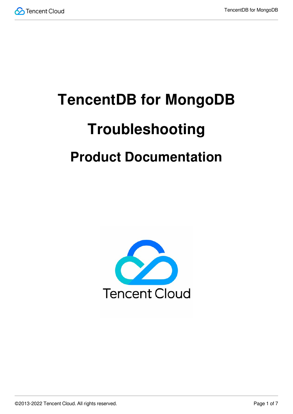

# **TencentDB for MongoDB Troubleshooting Product Documentation**

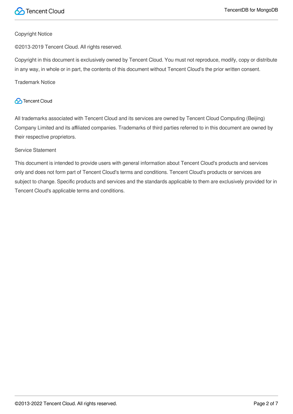

#### Copyright Notice

©2013-2019 Tencent Cloud. All rights reserved.

Copyright in this document is exclusively owned by Tencent Cloud. You must not reproduce, modify, copy or distribute in any way, in whole or in part, the contents of this document without Tencent Cloud's the prior written consent.

Trademark Notice

#### **C** Tencent Cloud

All trademarks associated with Tencent Cloud and its services are owned by Tencent Cloud Computing (Beijing) Company Limited and its affiliated companies. Trademarks of third parties referred to in this document are owned by their respective proprietors.

#### Service Statement

This document is intended to provide users with general information about Tencent Cloud's products and services only and does not form part of Tencent Cloud's terms and conditions. Tencent Cloud's products or services are subject to change. Specific products and services and the standards applicable to them are exclusively provided for in Tencent Cloud's applicable terms and conditions.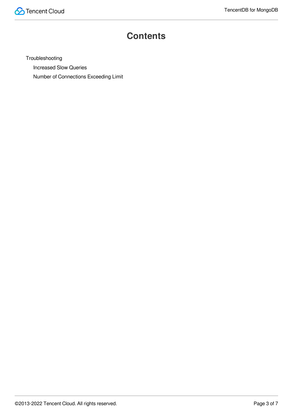

## **Contents**

[Troubleshooting](#page-3-0)

[Increased](#page-3-1) Slow Queries

Number of [Connections](#page-5-0) Exceeding Limit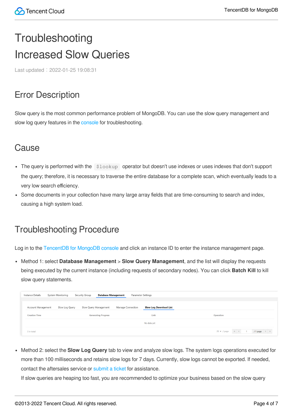# <span id="page-3-1"></span><span id="page-3-0"></span>**Troubleshooting** Increased Slow Queries

Last updated: 2022-01-25 19:08:31

## Error Description

Slow query is the most common performance problem of MongoDB. You can use the slow query management and slow log query features in the [console](https://console.intl.cloud.tencent.com/mongodb) for troubleshooting.

#### **Cause**

- The query is performed with the  $$$ lookup operator but doesn't use indexes or uses indexes that don't support the query; therefore, it is necessary to traverse the entire database for a complete scan, which eventually leads to a very low search efficiency.
- Some documents in your collection have many large array fields that are time-consuming to search and index, causing a high system load.

## Troubleshooting Procedure

Log in to the [TencentDB](https://console.intl.cloud.tencent.com/mongodb) for MongoDB console and click an instance ID to enter the instance management page.

Method 1: select **Database Management** > **Slow Query Management**, and the list will display the requests being executed by the current instance (including requests of secondary nodes). You can click **Batch Kill** to kill slow query statements.

| Instance Details     | System Monitoring | Security Group        | <b>Database Management</b> | Parameter Settings     |                    |                                                                                              |
|----------------------|-------------------|-----------------------|----------------------------|------------------------|--------------------|----------------------------------------------------------------------------------------------|
| Account Management   | Slow Log Query    | Slow Query Management | Manage Connection          | Slow Log Download List |                    |                                                                                              |
| <b>Creation Time</b> |                   |                       | <b>Generating Progress</b> | Link                   | Operation          |                                                                                              |
| No data yet          |                   |                       |                            |                        |                    |                                                                                              |
| 0 in total           |                   |                       |                            |                        | $20 \times$ / page | /1 page $\rightarrow$ $\rightarrow$<br>$\mathbb{N}^{\mathbb{N}}$ , $\mathbb{N}^{\mathbb{N}}$ |

Method 2: select the **Slow Log Query** tab to view and analyze slow logs. The system logs operations executed for more than 100 milliseconds and retains slow logs for 7 days. Currently, slow logs cannot be exported. If needed, contact the aftersales service or [submit](https://console.intl.cloud.tencent.com/workorder/category) a ticket for assistance.

If slow queries are heaping too fast, you are recommended to optimize your business based on the slow query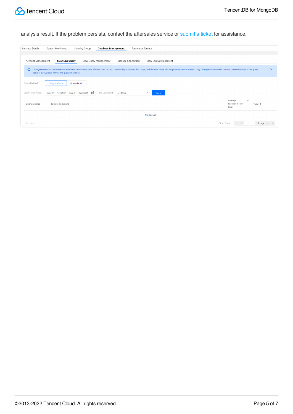analysis result. If the problem persists, contact the aftersales service or [submit](https://console.intl.cloud.tencent.com/workorder/category) a ticket for assistance.

| Instance Details    | System Monitoring                                   | Security Group | <b>Database Management</b>                                                                                                                                                                                                     | Parameter Settings               |                        |  |                  |                            |           |          |
|---------------------|-----------------------------------------------------|----------------|--------------------------------------------------------------------------------------------------------------------------------------------------------------------------------------------------------------------------------|----------------------------------|------------------------|--|------------------|----------------------------|-----------|----------|
| Account Management  | <b>Slow Log Query</b>                               |                | Manage Connection<br>Slow Query Management                                                                                                                                                                                     |                                  | Slow Log Download List |  |                  |                            |           |          |
| $\odot$             | result is slow, please narrow the query time range. |                | The system records the operations that have an execution time of more than 100 ms. The slow log is retained for 7 days, and the time range of a single query cannot exceed 1 day. The query is limited to the first 10,000 slo |                                  |                        |  |                  |                            |           | $\times$ |
| Query Method        | <b>Query statistics</b>                             | Query details  |                                                                                                                                                                                                                                |                                  |                        |  |                  |                            |           |          |
| Query Time Period   | 2022-01-17 22:00:34 ~ 2022-01-18 22:00:34           | 茴              | Time Consumed<br>$> = 100$ ms                                                                                                                                                                                                  | Query<br>$\overline{\mathbf{v}}$ |                        |  |                  |                            |           |          |
| <b>Query Method</b> | <b>Sample Command</b>                               |                |                                                                                                                                                                                                                                |                                  |                        |  | Average<br>(ms)  | 土<br><b>Execution Time</b> | Total $$$ |          |
| No data yet         |                                                     |                |                                                                                                                                                                                                                                |                                  |                        |  |                  |                            |           |          |
| 0 in total          |                                                     |                |                                                                                                                                                                                                                                |                                  |                        |  | $20 \div /$ page |                            | $/1$ page |          |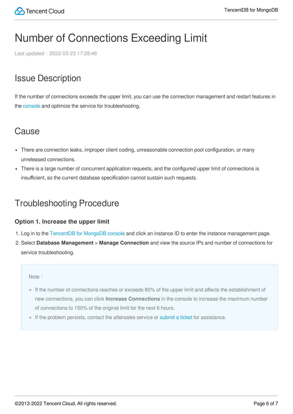## <span id="page-5-0"></span>Number of Connections Exceeding Limit

Last updated: 2022-03-23 17:28:46

## Issue Description

If the number of connections exceeds the upper limit, you can use the connection management and restart features in the [console](https://console.intl.cloud.tencent.com/mongodb) and optimize the service for troubleshooting.

### **Cause**

- There are connection leaks, improper client coding, unreasonable connection pool configuration, or many unreleased connections.
- There is a large number of concurrent application requests, and the configured upper limit of connections is insufficient, so the current database specification cannot sustain such requests.

## Troubleshooting Procedure

#### **Option 1. Increase the upper limit**

- 1. Log in to the [TencentDB](https://console.intl.cloud.tencent.com/mongodb) for MongoDB console and click an instance ID to enter the instance management page.
- 2. Select **Database Management** > **Manage Connection** and view the source IPs and number of connections for service troubleshooting.

Note:

- If the number of connections reaches or exceeds 80% of the upper limit and affects the establishment of new connections, you can click **Increase Connections** in the console to increase the maximum number of connections to 150% of the original limit for the next 6 hours.
- o If the problem persists, contact the aftersales service or [submit](https://console.intl.cloud.tencent.com/workorder/category) a ticket for assistance.